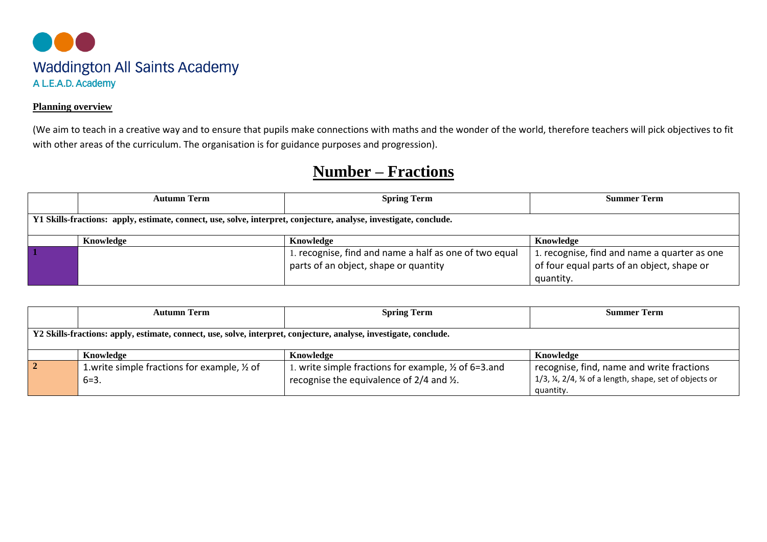

## **Planning overview**

(We aim to teach in a creative way and to ensure that pupils make connections with maths and the wonder of the world, therefore teachers will pick objectives to fit with other areas of the curriculum. The organisation is for guidance purposes and progression).

## **Number – Fractions**

|                                                                                                                   | <b>Autumn Term</b> | <b>Spring Term</b>                                     | <b>Summer Term</b>                           |
|-------------------------------------------------------------------------------------------------------------------|--------------------|--------------------------------------------------------|----------------------------------------------|
|                                                                                                                   |                    |                                                        |                                              |
| Y1 Skills-fractions: apply, estimate, connect, use, solve, interpret, conjecture, analyse, investigate, conclude. |                    |                                                        |                                              |
|                                                                                                                   |                    |                                                        |                                              |
|                                                                                                                   | Knowledge          | Knowledge                                              | Knowledge                                    |
|                                                                                                                   |                    | 1. recognise, find and name a half as one of two equal | 1. recognise, find and name a quarter as one |
|                                                                                                                   |                    | parts of an object, shape or quantity                  | of four equal parts of an object, shape or   |
|                                                                                                                   |                    |                                                        | quantity.                                    |

|                                                                                                                   | <b>Autumn Term</b>                                      | <b>Spring Term</b>                                    | <b>Summer Term</b>                                   |
|-------------------------------------------------------------------------------------------------------------------|---------------------------------------------------------|-------------------------------------------------------|------------------------------------------------------|
|                                                                                                                   |                                                         |                                                       |                                                      |
| Y2 Skills-fractions: apply, estimate, connect, use, solve, interpret, conjecture, analyse, investigate, conclude. |                                                         |                                                       |                                                      |
|                                                                                                                   |                                                         |                                                       |                                                      |
|                                                                                                                   | Knowledge                                               | Knowledge                                             | Knowledge                                            |
|                                                                                                                   | 1. write simple fractions for example, $\frac{1}{2}$ of | 1. write simple fractions for example, 1/2 of 6=3.and | recognise, find, name and write fractions            |
|                                                                                                                   | $6 = 3.$                                                | recognise the equivalence of 2/4 and 1/2.             | 1/3, ¼, 2/4, ¾ of a length, shape, set of objects or |
|                                                                                                                   |                                                         |                                                       | quantity.                                            |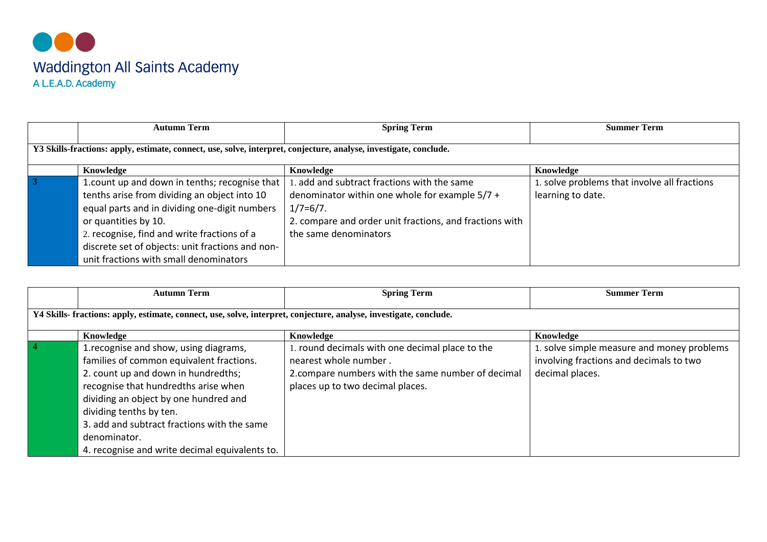

|                                                                                                                   | <b>Autumn Term</b>                               | <b>Spring Term</b>                                      | <b>Summer Term</b>                           |
|-------------------------------------------------------------------------------------------------------------------|--------------------------------------------------|---------------------------------------------------------|----------------------------------------------|
| Y3 Skills-fractions: apply, estimate, connect, use, solve, interpret, conjecture, analyse, investigate, conclude. |                                                  |                                                         |                                              |
|                                                                                                                   | Knowledge                                        | Knowledge                                               | Knowledge                                    |
|                                                                                                                   | 1. count up and down in tenths; recognise that   | . add and subtract fractions with the same              | 1. solve problems that involve all fractions |
|                                                                                                                   | tenths arise from dividing an object into 10     | denominator within one whole for example $5/7 +$        | learning to date.                            |
|                                                                                                                   | equal parts and in dividing one-digit numbers    | $1/7=6/7$ .                                             |                                              |
|                                                                                                                   | or quantities by 10.                             | 2. compare and order unit fractions, and fractions with |                                              |
|                                                                                                                   | 2. recognise, find and write fractions of a      | the same denominators                                   |                                              |
|                                                                                                                   | discrete set of objects: unit fractions and non- |                                                         |                                              |
|                                                                                                                   | unit fractions with small denominators           |                                                         |                                              |

|                                                                                                                    | <b>Autumn Term</b>                                                                                                                                                                                                                                                                                                                                     | <b>Spring Term</b>                                                                                                                                               | <b>Summer Term</b>                                                                                       |
|--------------------------------------------------------------------------------------------------------------------|--------------------------------------------------------------------------------------------------------------------------------------------------------------------------------------------------------------------------------------------------------------------------------------------------------------------------------------------------------|------------------------------------------------------------------------------------------------------------------------------------------------------------------|----------------------------------------------------------------------------------------------------------|
| Y4 Skills- fractions: apply, estimate, connect, use, solve, interpret, conjecture, analyse, investigate, conclude. |                                                                                                                                                                                                                                                                                                                                                        |                                                                                                                                                                  |                                                                                                          |
|                                                                                                                    | Knowledge                                                                                                                                                                                                                                                                                                                                              | Knowledge                                                                                                                                                        | Knowledge                                                                                                |
| $\sqrt{4}$                                                                                                         | 1. recognise and show, using diagrams,<br>families of common equivalent fractions.<br>2. count up and down in hundredths;<br>recognise that hundredths arise when<br>dividing an object by one hundred and<br>dividing tenths by ten.<br>3. add and subtract fractions with the same<br>denominator.<br>4. recognise and write decimal equivalents to. | . round decimals with one decimal place to the<br>nearest whole number.<br>2.compare numbers with the same number of decimal<br>places up to two decimal places. | 1. solve simple measure and money problems<br>involving fractions and decimals to two<br>decimal places. |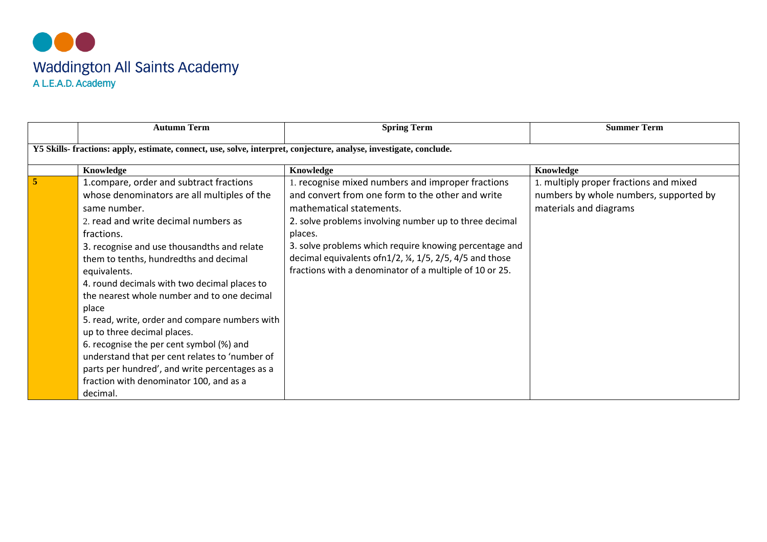

|                | <b>Autumn Term</b>                                                                                                                                                                                                                                                                                                                                                                                                                                                                                                                                                                                                                                                    | <b>Spring Term</b>                                                                                                                                                                                                                                                                                                                                                                       | <b>Summer Term</b>                                                                                         |
|----------------|-----------------------------------------------------------------------------------------------------------------------------------------------------------------------------------------------------------------------------------------------------------------------------------------------------------------------------------------------------------------------------------------------------------------------------------------------------------------------------------------------------------------------------------------------------------------------------------------------------------------------------------------------------------------------|------------------------------------------------------------------------------------------------------------------------------------------------------------------------------------------------------------------------------------------------------------------------------------------------------------------------------------------------------------------------------------------|------------------------------------------------------------------------------------------------------------|
|                | Y5 Skills- fractions: apply, estimate, connect, use, solve, interpret, conjecture, analyse, investigate, conclude.                                                                                                                                                                                                                                                                                                                                                                                                                                                                                                                                                    |                                                                                                                                                                                                                                                                                                                                                                                          |                                                                                                            |
|                | Knowledge                                                                                                                                                                                                                                                                                                                                                                                                                                                                                                                                                                                                                                                             | Knowledge                                                                                                                                                                                                                                                                                                                                                                                | Knowledge                                                                                                  |
| $\overline{5}$ | 1.compare, order and subtract fractions<br>whose denominators are all multiples of the<br>same number.<br>2. read and write decimal numbers as<br>fractions.<br>3. recognise and use thousandths and relate<br>them to tenths, hundredths and decimal<br>equivalents.<br>4. round decimals with two decimal places to<br>the nearest whole number and to one decimal<br>place<br>5. read, write, order and compare numbers with<br>up to three decimal places.<br>6. recognise the per cent symbol (%) and<br>understand that per cent relates to 'number of<br>parts per hundred', and write percentages as a<br>fraction with denominator 100, and as a<br>decimal. | 1. recognise mixed numbers and improper fractions<br>and convert from one form to the other and write<br>mathematical statements.<br>2. solve problems involving number up to three decimal<br>places.<br>3. solve problems which require knowing percentage and<br>decimal equivalents of n1/2, 1/3, 1/5, 2/5, 4/5 and those<br>fractions with a denominator of a multiple of 10 or 25. | 1. multiply proper fractions and mixed<br>numbers by whole numbers, supported by<br>materials and diagrams |